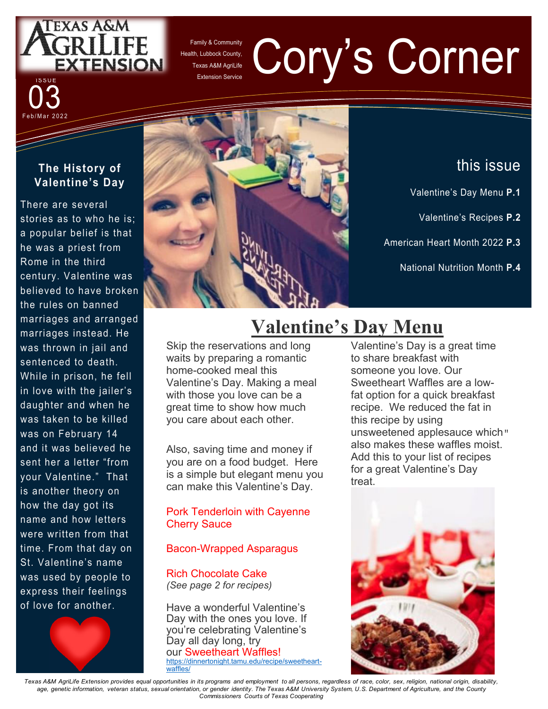

Family & Community Health, Lubbock County, Texas A&M AgriLife

# **Extension Service** Corner Corner Corner Corner Corner Corner Corner Corner Corner Corner Corner Corner Corner Corner Corner Corner Corner Corner Corner Corner Corner Corner Corner Corner Corner Corner Corner Corner Corner

#### **The History of Valentine's Day**

Feb/Mar 2022 03

There are several stories as to who he is; a popular belief is that he was a priest from Rome in the third century. Valentine was believed to have broken the rules on banned marriages and arranged marriages instead. He was thrown in jail and sentenced to death. While in prison, he fell in love with the jailer's daughter and when he was taken to be killed was on February 14 and it was believed he sent her a letter "from your Valentine." That is another theory on how the day got its name and how letters were written from that time. From that day on St. Valentine's name was used by people to express their feelings of love for another.





# this issue

- Valentine's Day Menu **P.1**
	- Valentine's Recipes **P.2**
- American Heart Month 2022 **P.3**
	- National Nutrition Month **P.4**

# **Valentine's Day Menu**

Skip the reservations and long waits by preparing a romantic home-cooked meal this Valentine's Day. Making a meal with those you love can be a great time to show how much you care about each other.

Also, saving time and money if you are on a food budget. Here is a simple but elegant menu you can make this Valentine's Day.

#### Pork Tenderloin with Cayenne Cherry Sauce

#### Bacon-Wrapped Asparagus

Rich Chocolate Cake *(See page 2 for recipes)*

Have a wonderful Valentine's Day with the ones you love. If you're celebrating Valentine's Day all day long, try our Sweetheart Waffles! https://dinnertonight.tamu.edu/recipe/sweetheartwaffles/

Valentine's Day is a great time to share breakfast with someone you love. Our Sweetheart Waffles are a lowfat option for a quick breakfast recipe. We reduced the fat in this recipe by using unsweetened applesauce which" also makes these waffles moist. Add this to your list of recipes for a great Valentine's Day treat.



*Texas A&M AgriLife Extension provides equal opportunities in its programs and employment to all persons, regardless of race, color, sex, religion, national origin, disability,*  age, genetic information, veteran status, sexual orientation, or gender identity. The Texas A&M University System, U.S. Department of Agriculture, and the County *Commissioners Courts of Texas Cooperating*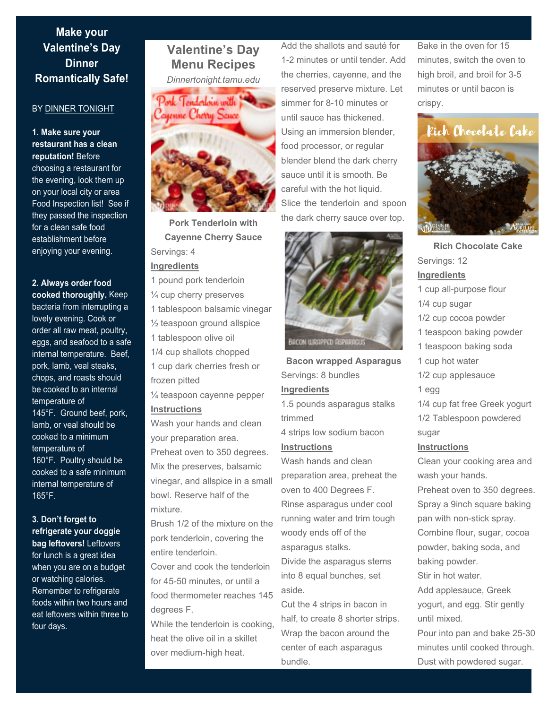### **Dinner in the Dinner Street Make your Valentine's Day Romantically Safe!**

#### BY DINNER TONIGHT

**1. Make sure your restaurant has a clean reputation!** Before

choosing a restaurant for the evening, look them up on your local city or area Food Inspection list! See if they passed the inspection for a clean safe food establishment before enjoying your evening.

**2. Always order food cooked thoroughly.** Keep bacteria from interrupting a lovely evening. Cook or order all raw meat, poultry, eggs, and seafood to a safe internal temperature. Beef, pork, lamb, veal steaks, chops, and roasts should be cooked to an internal temperature of 145°F. Ground beef, pork, lamb, or veal should be cooked to a minimum temperature of 160°F. Poultry should be cooked to a safe minimum internal temperature of 165°F.

#### **3. Don't forget to refrigerate your doggie bag leftovers!** Leftovers for lunch is a great idea

when you are on a budget or watching calories. Remember to refrigerate foods within two hours and eat leftovers within three to four days.

## **Valentine's Day Menu Recipes**

*Dinnertonight.tamu.edu* 



**Pork Tenderloin with Cayenne Cherry Sauce**  Servings: 4 **Ingredients** 

1 pound pork tenderloin

¼ cup cherry preserves

1 tablespoon balsamic vinegar

 $\frac{1}{2}$  teaspoon ground allspice

1 tablespoon olive oil

1/4 cup shallots chopped 1 cup dark cherries fresh or

frozen pitted ¼ teaspoon cayenne pepper

**Instructions** 

Wash your hands and clean your preparation area. Preheat oven to 350 degrees. Mix the preserves, balsamic vinegar, and allspice in a small bowl. Reserve half of the mixture.

Brush 1/2 of the mixture on the pork tenderloin, covering the entire tenderloin.

Cover and cook the tenderloin for 45-50 minutes, or until a food thermometer reaches 145 degrees F.

While the tenderloin is cooking. heat the olive oil in a skillet over medium-high heat.

Add the shallots and sauté for 1-2 minutes or until tender. Add the cherries, cayenne, and the reserved preserve mixture. Let simmer for 8-10 minutes or until sauce has thickened. Using an immersion blender, food processor, or regular blender blend the dark cherry sauce until it is smooth. Be careful with the hot liquid. Slice the tenderloin and spoon the dark cherry sauce over top.



**Bacon wrapped Asparagus**  Servings: 8 bundles **Ingredients**  1.5 pounds asparagus stalks trimmed 4 strips low sodium bacon

**Instructions** 

Wash hands and clean preparation area, preheat the oven to 400 Degrees F. Rinse asparagus under cool running water and trim tough woody ends off of the asparagus stalks. Divide the asparagus stems

into 8 equal bunches, set aside.

Cut the 4 strips in bacon in half, to create 8 shorter strips. Wrap the bacon around the center of each asparagus bundle.

Bake in the oven for 15 minutes, switch the oven to high broil, and broil for 3-5 minutes or until bacon is crispy.



**Rich Chocolate Cake**  Servings: 12 **Ingredients**  1 cup all-purpose flour 1/4 cup sugar 1/2 cup cocoa powder 1 teaspoon baking powder 1 teaspoon baking soda 1 cup hot water 1/2 cup applesauce 1 egg 1/4 cup fat free Greek yogurt 1/2 Tablespoon powdered sugar **Instructions**  Clean your cooking area and

wash your hands. Preheat oven to 350 degrees. Spray a 9inch square baking pan with non-stick spray. Combine flour, sugar, cocoa powder, baking soda, and baking powder. Stir in hot water.

Add applesauce, Greek yogurt, and egg. Stir gently until mixed.

Pour into pan and bake 25-30 minutes until cooked through. Dust with powdered sugar.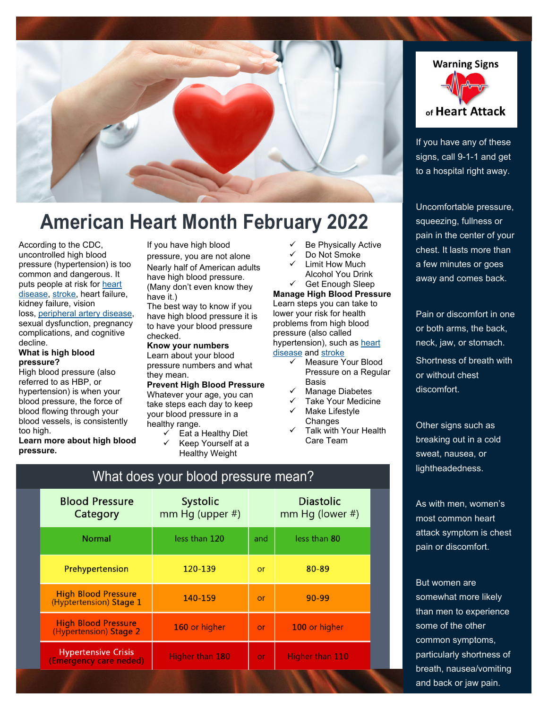

# **American Heart Month February 2022**

According to the CDC, uncontrolled high blood pressure (hypertension) is too common and dangerous. It puts people at risk for heart disease, stroke, heart failure, kidney failure, vision

loss, peripheral artery disease, sexual dysfunction, pregnancy complications, and cognitive decline.

#### **What is high blood pressure?**

High blood pressure (also referred to as HBP, or hypertension) is when your blood pressure, the force of blood flowing through your blood vessels, is consistently too high.

**Learn more about high blood pressure.** 

If you have high blood pressure, you are not alone Nearly half of American adults have high blood pressure. (Many don't even know they have it.)

The best way to know if you have high blood pressure it is to have your blood pressure checked.

**Know your numbers**  Learn about your blood pressure numbers and what they mean.

#### **Prevent High Blood Pressure**

Whatever your age, you can take steps each day to keep your blood pressure in a healthy range.

 $\checkmark$  Eat a Healthy Diet

What does your blood pressure mean?

 Keep Yourself at a Healthy Weight

- Be Physically Active
- Do Not Smoke Limit How Much Alcohol You Drink

 Get Enough Sleep **Manage High Blood Pressure**  Learn steps you can take to lower your risk for health problems from high blood

#### pressure (also called hypertension), such as heart disease and stroke

- Measure Your Blood Pressure on a Regular **Basis**
- Manage Diabetes
- Take Your Medicine
- Make Lifestyle **Changes**
- Talk with Your Health Care Team

 $#$ 

**Warning Signs** of Heart Attack

If you have any of these signs, call 9-1-1 and get to a hospital right away.

Uncomfortable pressure, squeezing, fullness or pain in the center of your chest. It lasts more than a few minutes or goes away and comes back.

Pain or discomfort in one or both arms, the back, neck, jaw, or stomach. Shortness of breath with or without chest discomfort.

Other signs such as breaking out in a cold sweat, nausea, or lightheadedness.

As with men, women's most common heart attack symptom is chest pain or discomfort.

But women are somewhat more likely than men to experience some of the other common symptoms, particularly shortness of breath, nausea/vomiting and back or jaw pain.

| <u>minded your probabloogie modified</u> |                                       |  |                                  |  |  |  |
|------------------------------------------|---------------------------------------|--|----------------------------------|--|--|--|
| <b>Blood Pressure</b><br>Category        | <b>Systolic</b><br>mm Hg (upper $#$ ) |  | <b>Diastolic</b><br>mm Hg (lower |  |  |  |
|                                          |                                       |  |                                  |  |  |  |

| $c^{\alpha}c^{\alpha}c^{\beta}c^{\gamma}$             | $\frac{1}{1}$   |           | $111111111q$ (IVIVCI ") |
|-------------------------------------------------------|-----------------|-----------|-------------------------|
| <b>Normal</b>                                         | less than 120   | and       | less than 80            |
| Prehypertension                                       | 120-139         | <b>or</b> | 80-89                   |
| <b>High Blood Pressure</b><br>(Hyptertension) Stage 1 | 140-159         | or        | 90-99                   |
| <b>High Blood Pressure</b><br>(Hypertension) Stage 2  | 160 or higher   | or        | 100 or higher           |
| <b>Hypertensive Crisis</b><br>(Emergency care neded)  | Higher than 180 | or        | Higher than 110         |
|                                                       |                 |           |                         |